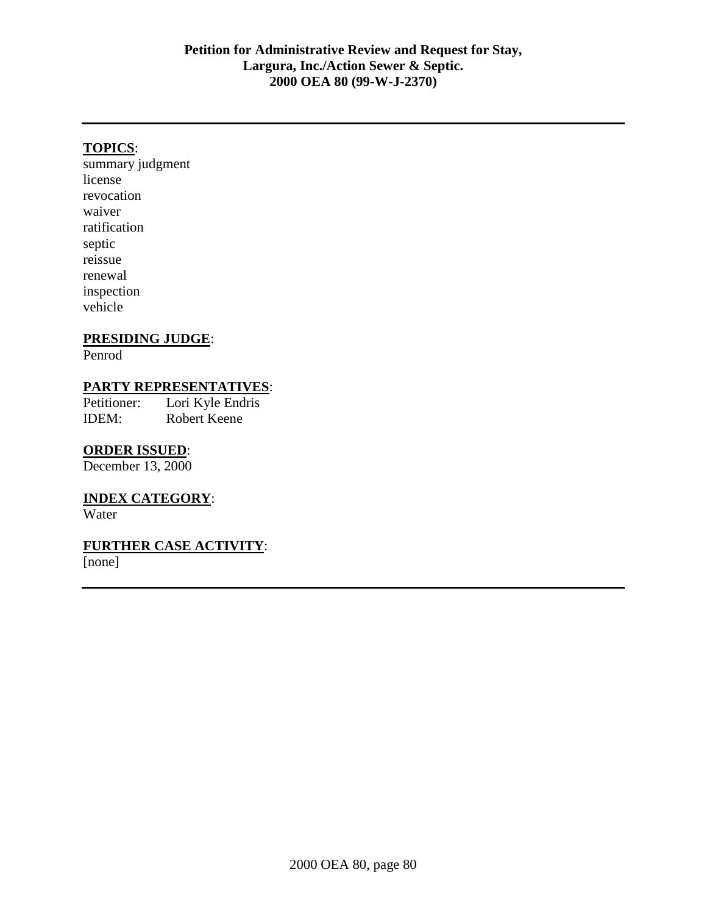## **TOPICS**:

summary judgment license revocation waiver ratification septic reissue renewal inspection vehicle

## **PRESIDING JUDGE**:

Penrod

### **PARTY REPRESENTATIVES**:

Petitioner: Lori Kyle Endris IDEM: Robert Keene

#### **ORDER ISSUED**:

December 13, 2000

# **INDEX CATEGORY**:

Water

# **FURTHER CASE ACTIVITY**:

[none]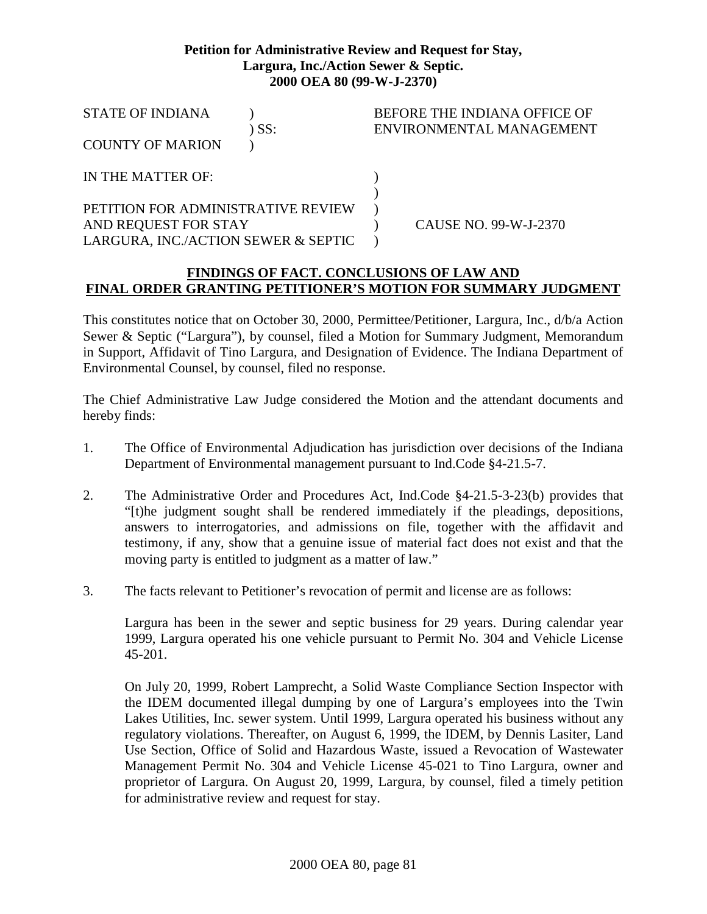#### **Petition for Administrative Review and Request for Stay, Largura, Inc./Action Sewer & Septic. 2000 OEA 80 (99-W-J-2370)**

| <b>STATE OF INDIANA</b>             | ) SS: | BEFORE THE INDIANA OFFICE OF<br>ENVIRONMENTAL MANAGEMENT |
|-------------------------------------|-------|----------------------------------------------------------|
| <b>COUNTY OF MARION</b>             |       |                                                          |
| IN THE MATTER OF:                   |       |                                                          |
| PETITION FOR ADMINISTRATIVE REVIEW  |       |                                                          |
| AND REQUEST FOR STAY                |       | CAUSE NO. 99-W-J-2370                                    |
| LARGURA, INC./ACTION SEWER & SEPTIC |       |                                                          |

## **FINDINGS OF FACT. CONCLUSIONS OF LAW AND FINAL ORDER GRANTING PETITIONER'S MOTION FOR SUMMARY JUDGMENT**

This constitutes notice that on October 30, 2000, Permittee/Petitioner, Largura, Inc., d/b/a Action Sewer & Septic ("Largura"), by counsel, filed a Motion for Summary Judgment, Memorandum in Support, Affidavit of Tino Largura, and Designation of Evidence. The Indiana Department of Environmental Counsel, by counsel, filed no response.

The Chief Administrative Law Judge considered the Motion and the attendant documents and hereby finds:

- 1. The Office of Environmental Adjudication has jurisdiction over decisions of the Indiana Department of Environmental management pursuant to Ind.Code §4-21.5-7.
- 2. The Administrative Order and Procedures Act, Ind.Code §4-21.5-3-23(b) provides that "[t)he judgment sought shall be rendered immediately if the pleadings, depositions, answers to interrogatories, and admissions on file, together with the affidavit and testimony, if any, show that a genuine issue of material fact does not exist and that the moving party is entitled to judgment as a matter of law."
- 3. The facts relevant to Petitioner's revocation of permit and license are as follows:

Largura has been in the sewer and septic business for 29 years. During calendar year 1999, Largura operated his one vehicle pursuant to Permit No. 304 and Vehicle License 45-201.

On July 20, 1999, Robert Lamprecht, a Solid Waste Compliance Section Inspector with the IDEM documented illegal dumping by one of Largura's employees into the Twin Lakes Utilities, Inc. sewer system. Until 1999, Largura operated his business without any regulatory violations. Thereafter, on August 6, 1999, the IDEM, by Dennis Lasiter, Land Use Section, Office of Solid and Hazardous Waste, issued a Revocation of Wastewater Management Permit No. 304 and Vehicle License 45-021 to Tino Largura, owner and proprietor of Largura. On August 20, 1999, Largura, by counsel, filed a timely petition for administrative review and request for stay.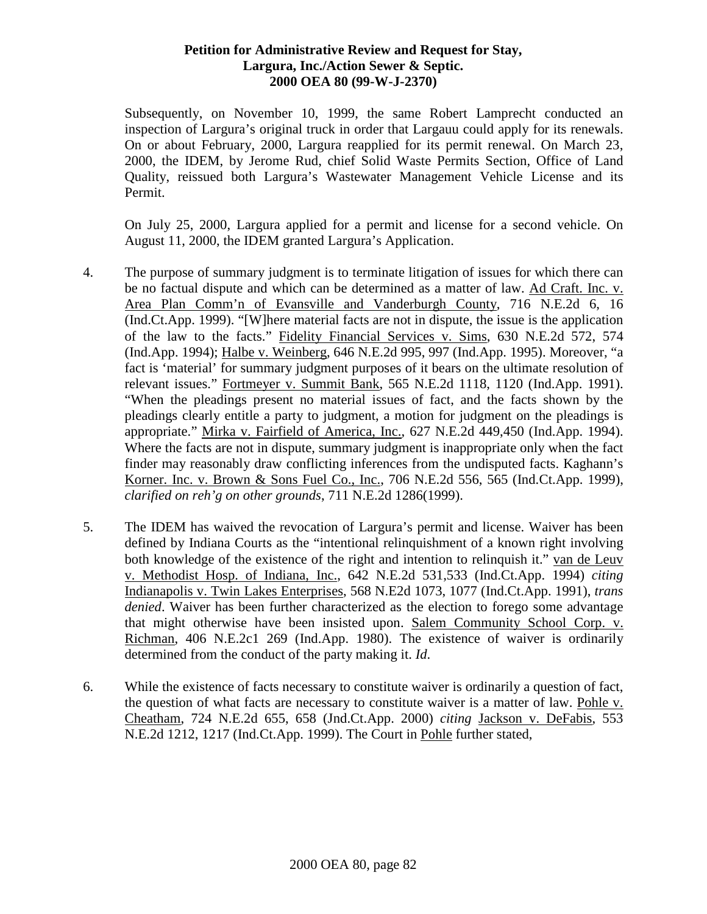#### **Petition for Administrative Review and Request for Stay, Largura, Inc./Action Sewer & Septic. 2000 OEA 80 (99-W-J-2370)**

Subsequently, on November 10, 1999, the same Robert Lamprecht conducted an inspection of Largura's original truck in order that Largauu could apply for its renewals. On or about February, 2000, Largura reapplied for its permit renewal. On March 23, 2000, the IDEM, by Jerome Rud, chief Solid Waste Permits Section, Office of Land Quality, reissued both Largura's Wastewater Management Vehicle License and its Permit.

On July 25, 2000, Largura applied for a permit and license for a second vehicle. On August 11, 2000, the IDEM granted Largura's Application.

- 4. The purpose of summary judgment is to terminate litigation of issues for which there can be no factual dispute and which can be determined as a matter of law. Ad Craft. Inc. v. Area Plan Comm'n of Evansville and Vanderburgh County, 716 N.E.2d 6, 16 (Ind.Ct.App. 1999). "[W]here material facts are not in dispute, the issue is the application of the law to the facts." Fidelity Financial Services v. Sims, 630 N.E.2d 572, 574 (Ind.App. 1994); Halbe v. Weinberg, 646 N.E.2d 995, 997 (Ind.App. 1995). Moreover, "a fact is 'material' for summary judgment purposes of it bears on the ultimate resolution of relevant issues." Fortmeyer v. Summit Bank, 565 N.E.2d 1118, 1120 (Ind.App. 1991). "When the pleadings present no material issues of fact, and the facts shown by the pleadings clearly entitle a party to judgment, a motion for judgment on the pleadings is appropriate." Mirka v. Fairfield of America, Inc., 627 N.E.2d 449,450 (Ind.App. 1994). Where the facts are not in dispute, summary judgment is inappropriate only when the fact finder may reasonably draw conflicting inferences from the undisputed facts. Kaghann's Korner. Inc. v. Brown & Sons Fuel Co., Inc., 706 N.E.2d 556, 565 (Ind.Ct.App. 1999), *clarified on reh'g on other grounds*, 711 N.E.2d 1286(1999).
- 5. The IDEM has waived the revocation of Largura's permit and license. Waiver has been defined by Indiana Courts as the "intentional relinquishment of a known right involving both knowledge of the existence of the right and intention to relinquish it." van de Leuv v. Methodist Hosp. of Indiana, Inc., 642 N.E.2d 531,533 (Ind.Ct.App. 1994) *citing* Indianapolis v. Twin Lakes Enterprises, 568 N.E2d 1073, 1077 (Ind.Ct.App. 1991), *trans denied*. Waiver has been further characterized as the election to forego some advantage that might otherwise have been insisted upon. Salem Community School Corp. v. Richman, 406 N.E.2c1 269 (Ind.App. 1980). The existence of waiver is ordinarily determined from the conduct of the party making it. *Id*.
- 6. While the existence of facts necessary to constitute waiver is ordinarily a question of fact, the question of what facts are necessary to constitute waiver is a matter of law. Pohle v. Cheatham, 724 N.E.2d 655, 658 (Jnd.Ct.App. 2000) *citing* Jackson v. DeFabis, 553 N.E.2d 1212, 1217 (Ind.Ct.App. 1999). The Court in Pohle further stated,